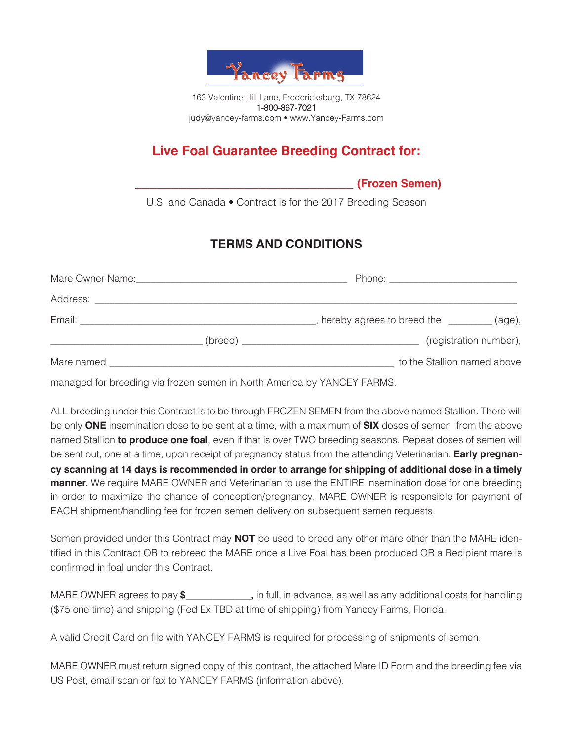

# **Live Foal Guarantee Breeding Contract for:**

 **\_\_\_\_\_\_\_\_\_\_\_\_\_\_\_\_\_\_\_\_\_\_\_\_\_\_\_\_\_\_ (Frozen Semen)**

U.S. and Canada • Contract is for the 2017 Breeding Season

## **TERMS AND CONDITIONS**

|  | hereby agrees to breed the __________(age), |
|--|---------------------------------------------|
|  | (registration number),                      |
|  | to the Stallion named above                 |

managed for breeding via frozen semen in North America by YANCEY FARMS.

ALL breeding under this Contract is to be through FROZEN SEMEN from the above named Stallion. There will be only **ONE** insemination dose to be sent at a time, with a maximum of **SIX** doses of semen from the above named Stallion **to produce one foal**, even if that is over TWO breeding seasons. Repeat doses of semen will be sent out, one at a time, upon receipt of pregnancy status from the attending Veterinarian. **Early pregnancy scanning at 14 days is recommended in order to arrange for shipping of additional dose in a timely manner.** We require MARE OWNER and Veterinarian to use the ENTIRE insemination dose for one breeding in order to maximize the chance of conception/pregnancy. MARE OWNER is responsible for payment of EACH shipment/handling fee for frozen semen delivery on subsequent semen requests.

Semen provided under this Contract may **NOT** be used to breed any other mare other than the MARE identified in this Contract OR to rebreed the MARE once a Live Foal has been produced OR a Recipient mare is confirmed in foal under this Contract.

MARE OWNER agrees to pay **\$\_\_\_\_\_\_\_\_\_\_\_\_,** in full, in advance, as well as any additional costs for handling (\$75 one time) and shipping (Fed Ex TBD at time of shipping) from Yancey Farms, Florida.

A valid Credit Card on file with YANCEY FARMS is required for processing of shipments of semen.

MARE OWNER must return signed copy of this contract, the attached Mare ID Form and the breeding fee via US Post, email scan or fax to YANCEY FARMS (information above).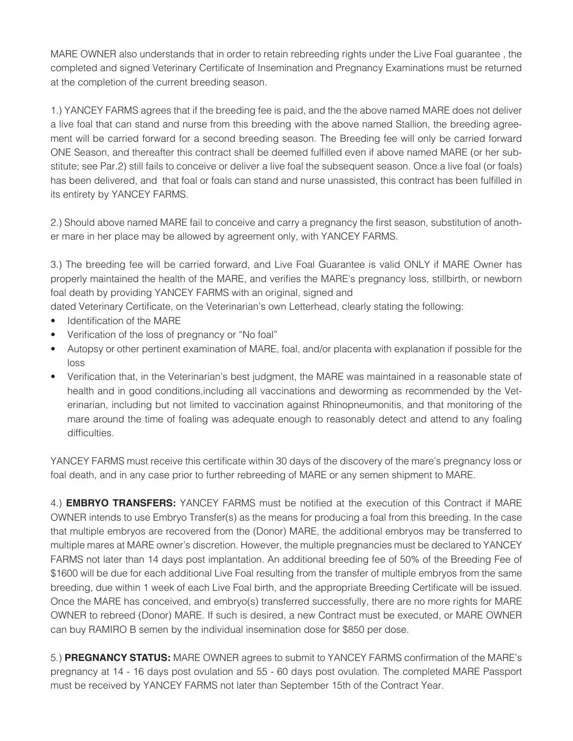MARE OWNER also understands that in order to retain rebreeding rights under the Live Foal guarantee , the completed and signed Veterinary Certificate of Insemination and Pregnancy Examinations must be returned at the completion of the current breeding season.

1.) YANCEY FARMS agrees that if the breeding fee is paid, and the the above named MARE does not deliver a live foal that can stand and nurse from this breeding with the above named Stallion, the breeding agreement will be carried forward for a second breeding season. The Breeding fee will only be carried forward ONE Season, and thereafter this contract shall be deemed fulfilled even if above named MARE (or her substitute; see Par.2) still fails to conceive or deliver a live foal the subsequent season. Once a live foal (or foals) has been delivered, and that foal or foals can stand and nurse unassisted, this contract has been fulfilled in its entirety by YANCEY FARMS.

2.) Should above named MARE fail to conceive and carry a pregnancy the first season, substitution of another mare in her place may be allowed by agreement only, with YANCEY FARMS.

3.) The breeding fee will be carried forward, and Live Foal Guarantee is valid ONLY if MARE Owner has properly maintained the health of the MARE, and verifies the MARE's pregnancy loss, stillbirth, or newborn foal death by providing YANCEY FARMS with an original, signed and

dated Veterinary Certificate, on the Veterinarian's own Letterhead, clearly stating the following:

- Identification of the MARE
- Verification of the loss of pregnancy or "No foal"
- Autopsy or other pertinent examination of MARE, foal, and/or placenta with explanation if possible for the loss
- Verification that, in the Veterinarian's best judgment, the MARE was maintained in a reasonable state of health and in good conditions,including all vaccinations and deworming as recommended by the Veterinarian, including but not limited to vaccination against Rhinopneumonitis, and that monitoring of the mare around the time of foaling was adequate enough to reasonably detect and attend to any foaling difficulties.

YANCEY FARMS must receive this certificate within 30 days of the discovery of the mare's pregnancy loss or foal death, and in any case prior to further rebreeding of MARE or any semen shipment to MARE.

4.) **EMBRYO TRANSFERS:** YANCEY FARMS must be notified at the execution of this Contract if MARE OWNER intends to use Embryo Transfer(s) as the means for producing a foal from this breeding. In the case that multiple embryos are recovered from the (Donor) MARE, the additional embryos may be transferred to multiple mares at MARE owner's discretion. However, the multiple pregnancies must be declared to YANCEY FARMS not later than 14 days post implantation. An additional breeding fee of 50% of the Breeding Fee of \$1600 will be due for each additional Live Foal resulting from the transfer of multiple embryos from the same breeding, due within 1 week of each Live Foal birth, and the appropriate Breeding Certificate will be issued. Once the MARE has conceived, and embryo(s) transferred successfully, there are no more rights for MARE OWNER to rebreed (Donor) MARE. If such is desired, a new Contract must be executed, or MARE OWNER can buy RAMIRO B semen by the individual insemination dose for \$850 per dose.

5.) **PREGNANCY STATUS:** MARE OWNER agrees to submit to YANCEY FARMS confirmation of the MARE's pregnancy at 14 - 16 days post ovulation and 55 - 60 days post ovulation. The completed MARE Passport must be received by YANCEY FARMS not later than September 15th of the Contract Year.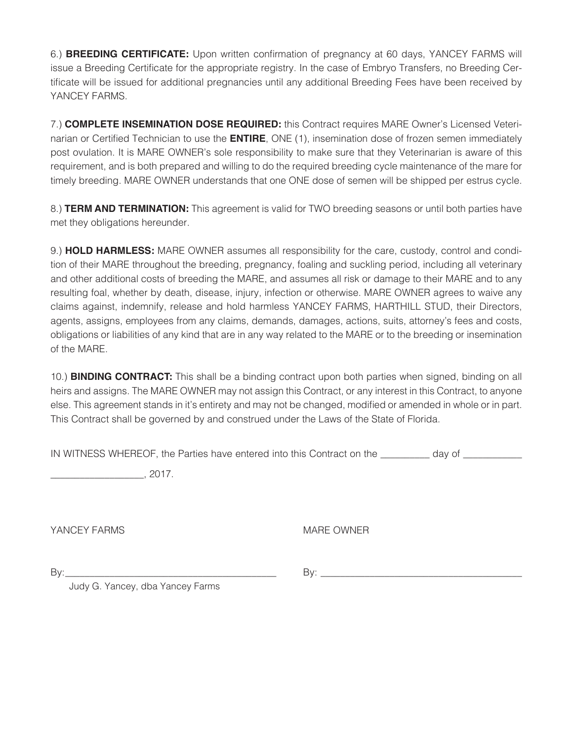6.) **BREEDING CERTIFICATE:** Upon written confirmation of pregnancy at 60 days, YANCEY FARMS will issue a Breeding Certificate for the appropriate registry. In the case of Embryo Transfers, no Breeding Certificate will be issued for additional pregnancies until any additional Breeding Fees have been received by YANCEY FARMS.

7.) **COMPLETE INSEMINATION DOSE REQUIRED:** this Contract requires MARE Owner's Licensed Veterinarian or Certified Technician to use the **ENTIRE**, ONE (1), insemination dose of frozen semen immediately post ovulation. It is MARE OWNER's sole responsibility to make sure that they Veterinarian is aware of this requirement, and is both prepared and willing to do the required breeding cycle maintenance of the mare for timely breeding. MARE OWNER understands that one ONE dose of semen will be shipped per estrus cycle.

8.) **TERM AND TERMINATION:** This agreement is valid for TWO breeding seasons or until both parties have met they obligations hereunder.

9.) **HOLD HARMLESS:** MARE OWNER assumes all responsibility for the care, custody, control and condition of their MARE throughout the breeding, pregnancy, foaling and suckling period, including all veterinary and other additional costs of breeding the MARE, and assumes all risk or damage to their MARE and to any resulting foal, whether by death, disease, injury, infection or otherwise. MARE OWNER agrees to waive any claims against, indemnify, release and hold harmless YANCEY FARMS, HARTHILL STUD, their Directors, agents, assigns, employees from any claims, demands, damages, actions, suits, attorney's fees and costs, obligations or liabilities of any kind that are in any way related to the MARE or to the breeding or insemination of the MARE.

10.) **BINDING CONTRACT:** This shall be a binding contract upon both parties when signed, binding on all heirs and assigns. The MARE OWNER may not assign this Contract, or any interest in this Contract, to anyone else. This agreement stands in it's entirety and may not be changed, modified or amended in whole or in part. This Contract shall be governed by and construed under the Laws of the State of Florida.

IN WITNESS WHEREOF, the Parties have entered into this Contract on the \_\_\_\_\_\_\_\_\_ day of

 $\frac{1}{2017}$ , 2017.

YANCEY FARMS MARE OWNER

By:\_\_\_\_\_\_\_\_\_\_\_\_\_\_\_\_\_\_\_\_\_\_\_\_\_\_\_\_\_\_\_\_\_\_\_\_\_\_\_\_\_\_\_ By: \_\_\_\_\_\_\_\_\_\_\_\_\_\_\_\_\_\_\_\_\_\_\_\_\_\_\_\_\_\_\_\_\_\_\_\_\_\_\_\_\_

Judy G. Yancey, dba Yancey Farms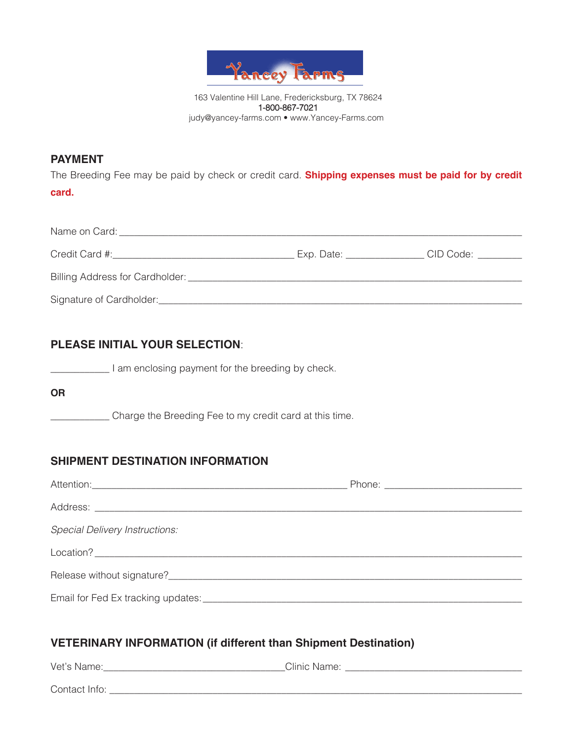

### **PAYMENT**

The Breeding Fee may be paid by check or credit card. **Shipping expenses must be paid for by credit card.**

| Name on Card:                   |            |           |
|---------------------------------|------------|-----------|
| Credit Card #:                  | Exp. Date: | CID Code: |
| Billing Address for Cardholder: |            |           |
| Signature of Cardholder:        |            |           |

### **PLEASE INITIAL YOUR SELECTION**:

I am enclosing payment for the breeding by check.

#### **OR**

\_\_\_\_\_\_\_\_\_\_\_\_ Charge the Breeding Fee to my credit card at this time.

### **SHIPMENT DESTINATION INFORMATION**

| <b>Special Delivery Instructions:</b>                                  |  |  |
|------------------------------------------------------------------------|--|--|
|                                                                        |  |  |
|                                                                        |  |  |
|                                                                        |  |  |
|                                                                        |  |  |
| <b>VETERINARY INFORMATION (if different than Shipment Destination)</b> |  |  |
|                                                                        |  |  |

Contact Info: \_\_\_\_\_\_\_\_\_\_\_\_\_\_\_\_\_\_\_\_\_\_\_\_\_\_\_\_\_\_\_\_\_\_\_\_\_\_\_\_\_\_\_\_\_\_\_\_\_\_\_\_\_\_\_\_\_\_\_\_\_\_\_\_\_\_\_\_\_\_\_\_\_\_\_\_\_\_\_\_\_\_\_\_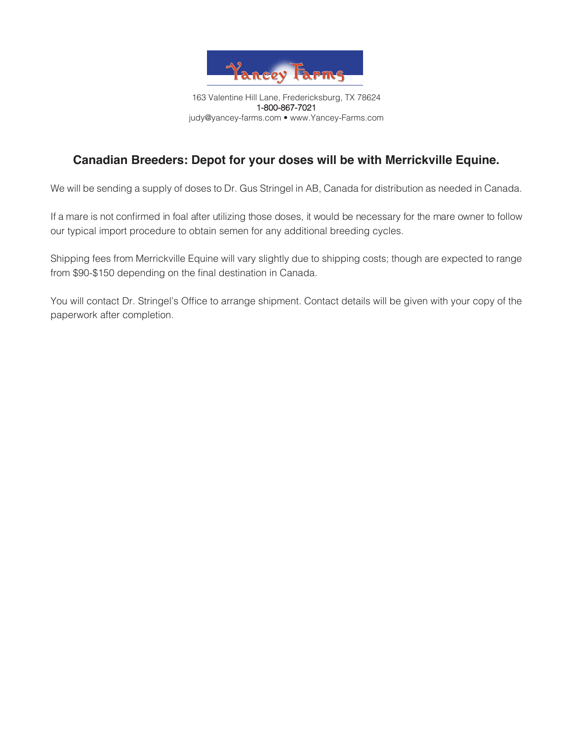

# **Canadian Breeders: Depot for your doses will be with Merrickville Equine.**

We will be sending a supply of doses to Dr. Gus Stringel in AB, Canada for distribution as needed in Canada.

If a mare is not confirmed in foal after utilizing those doses, it would be necessary for the mare owner to follow our typical import procedure to obtain semen for any additional breeding cycles.

Shipping fees from Merrickville Equine will vary slightly due to shipping costs; though are expected to range from \$90-\$150 depending on the final destination in Canada.

You will contact Dr. Stringel's Office to arrange shipment. Contact details will be given with your copy of the paperwork after completion.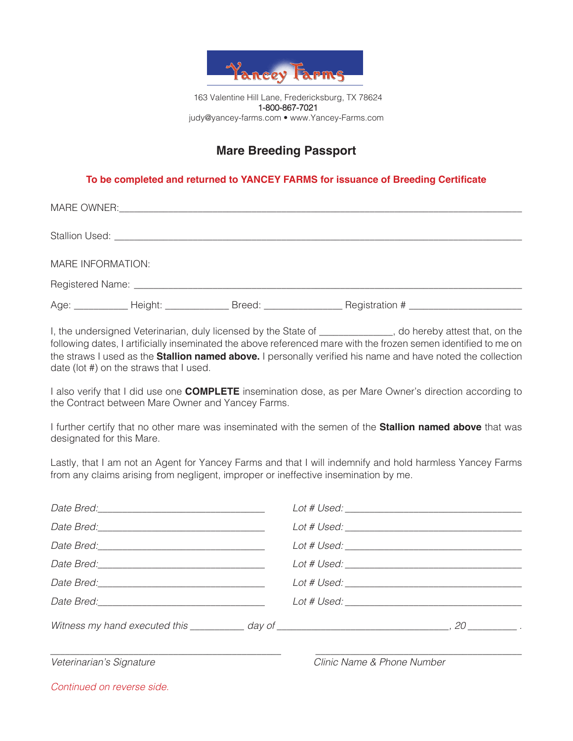

# **Mare Breeding Passport**

#### **To be completed and returned to YANCEY FARMS for issuance of Breeding Certificate**

| MARE INFORMATION: |  |                                    |
|-------------------|--|------------------------------------|
|                   |  |                                    |
|                   |  | Age: Meight: Breed: Registration # |

I, the undersigned Veterinarian, duly licensed by the State of \_\_\_\_\_\_\_\_\_\_\_\_, do hereby attest that, on the following dates, I artificially inseminated the above referenced mare with the frozen semen identified to me on the straws I used as the **Stallion named above.** I personally verified his name and have noted the collection date (lot #) on the straws that I used.

I also verify that I did use one **COMPLETE** insemination dose, as per Mare Owner's direction according to the Contract between Mare Owner and Yancey Farms.

I further certify that no other mare was inseminated with the semen of the **Stallion named above** that was designated for this Mare.

Lastly, that I am not an Agent for Yancey Farms and that I will indemnify and hold harmless Yancey Farms from any claims arising from negligent, improper or ineffective insemination by me.

| Lot # Used: Lot # Used:                                                                                           |
|-------------------------------------------------------------------------------------------------------------------|
|                                                                                                                   |
| Witness my hand executed this $\_\_\_\_$ day of $\_\_\_\_\_\_$ $\_\_\_\_\_$ , 20 $\_\_\_\_\_$ , 20 $\_\_\_\_\_$ . |
|                                                                                                                   |

*Veterinarian's Signature Clinic Name & Phone Number*

*Continued on reverse side.*